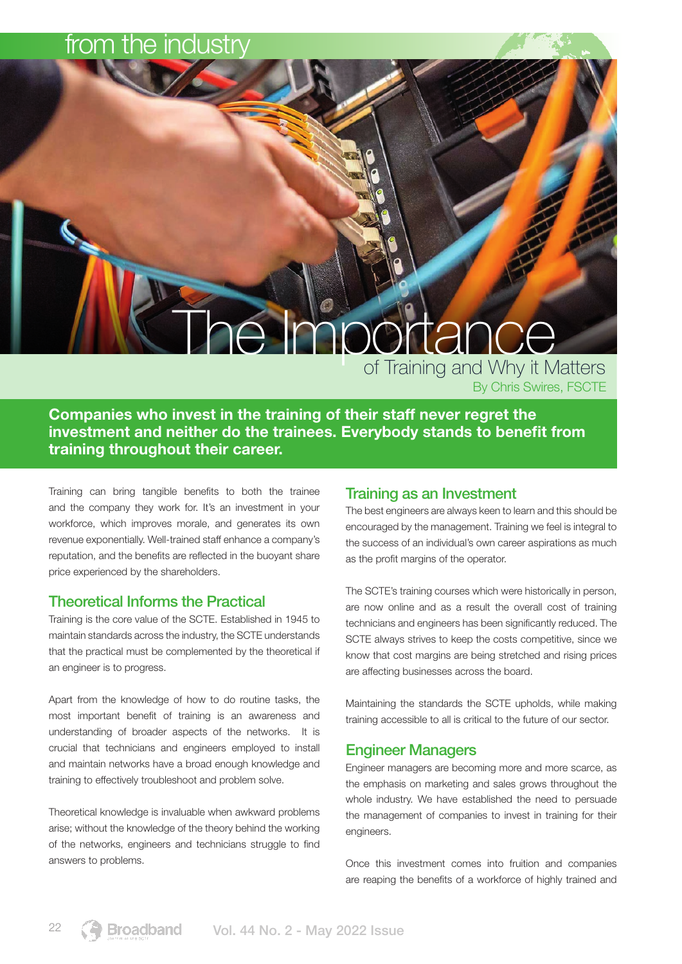### from the industr

# The Importance of Training and Why it Matters

By Chris Swires, FSCTE

Companies who invest in the training of their staff never regret the investment and neither do the trainees. Everybody stands to benefit from training throughout their career.

Training can bring tangible benefits to both the trainee and the company they work for. It's an investment in your workforce, which improves morale, and generates its own revenue exponentially. Well-trained staff enhance a company's reputation, and the benefits are reflected in the buoyant share price experienced by the shareholders.

#### Theoretical Informs the Practical

Training is the core value of the SCTE. Established in 1945 to maintain standards across the industry, the SCTE understands that the practical must be complemented by the theoretical if an engineer is to progress.

Apart from the knowledge of how to do routine tasks, the most important benefit of training is an awareness and understanding of broader aspects of the networks. It is crucial that technicians and engineers employed to install and maintain networks have a broad enough knowledge and training to effectively troubleshoot and problem solve.

Theoretical knowledge is invaluable when awkward problems arise; without the knowledge of the theory behind the working of the networks, engineers and technicians struggle to find answers to problems.

#### Training as an Investment

The best engineers are always keen to learn and this should be encouraged by the management. Training we feel is integral to the success of an individual's own career aspirations as much as the profit margins of the operator.

The SCTE's training courses which were historically in person, are now online and as a result the overall cost of training technicians and engineers has been significantly reduced. The SCTE always strives to keep the costs competitive, since we know that cost margins are being stretched and rising prices are affecting businesses across the board.

Maintaining the standards the SCTE upholds, while making training accessible to all is critical to the future of our sector.

#### Engineer Managers

Engineer managers are becoming more and more scarce, as the emphasis on marketing and sales grows throughout the whole industry. We have established the need to persuade the management of companies to invest in training for their engineers.

Once this investment comes into fruition and companies are reaping the benefits of a workforce of highly trained and